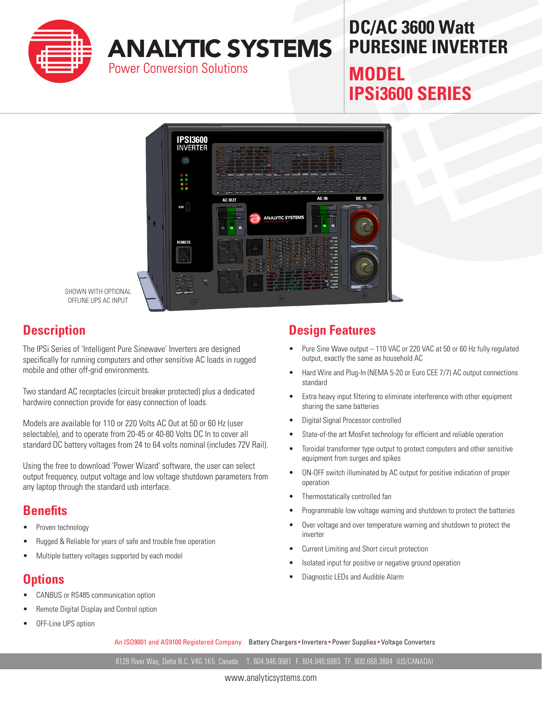

# **DC/AC 3600 Watt PURESINE INVERTER MODEL**

**IPSi3600 SERIES**



SHOWN WITH OPTIONAL OFFLINE UPS AC INPUT

#### **Description**

The IPSi Series of 'Intelligent Pure Sinewave' Inverters are designed specifically for running computers and other sensitive AC loads in rugged mobile and other off-grid environments.

Two standard AC receptacles (circuit breaker protected) plus a dedicated hardwire connection provide for easy connection of loads.

Models are available for 110 or 220 Volts AC Out at 50 or 60 Hz (user selectable), and to operate from 20-45 or 40-80 Volts DC In to cover all standard DC battery voltages from 24 to 64 volts nominal (includes 72V Rail).

Using the free to download 'Power Wizard' software, the user can select output frequency, output voltage and low voltage shutdown parameters from any laptop through the standard usb interface.

#### **Benefits**

- Proven technology
- Rugged & Reliable for years of safe and trouble free operation
- Multiple battery voltages supported by each model

### **Options**

- CANBUS or RS485 communication option
- Remote Digital Display and Control option
- OFF-Line UPS option

#### **Design Features**

- Pure Sine Wave output 110 VAC or 220 VAC at 50 or 60 Hz fully regulated output, exactly the same as household AC
- Hard Wire and Plug-In (NEMA 5-20 or Euro CEE 7/7) AC output connections standard
- Extra heavy input filtering to eliminate interference with other equipment sharing the same batteries
- Digital Signal Processor controlled
- State-of-the art MosFet technology for efficient and reliable operation
- Toroidal transformer type output to protect computers and other sensitive equipment from surges and spikes
- ON-OFF switch illuminated by AC output for positive indication of proper operation
- Thermostatically controlled fan
- Programmable low voltage warning and shutdown to protect the batteries
- Over voltage and over temperature warning and shutdown to protect the inverter
- Current Limiting and Short circuit protection
- Isolated input for positive or negative ground operation
- Diagnostic LEDs and Audible Alarm

An ISO9001 and AS9100 Registered Company Battery Chargers • Inverters • Power Supplies • Voltage Converters